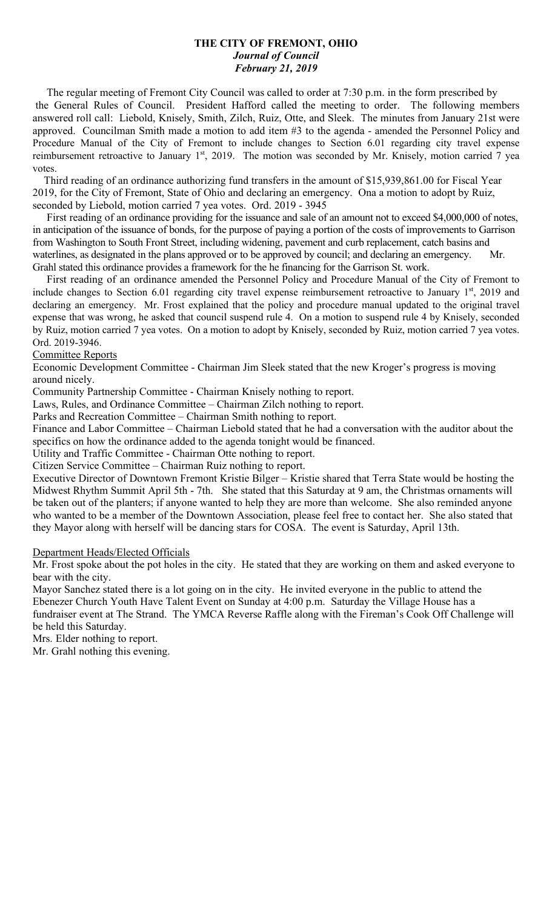# **THE CITY OF FREMONT, OHIO** *Journal of Council February 21, 2019*

 The regular meeting of Fremont City Council was called to order at 7:30 p.m. in the form prescribed by the General Rules of Council. President Hafford called the meeting to order. The following members answered roll call: Liebold, Knisely, Smith, Zilch, Ruiz, Otte, and Sleek. The minutes from January 21st were approved. Councilman Smith made a motion to add item #3 to the agenda - amended the Personnel Policy and Procedure Manual of the City of Fremont to include changes to Section 6.01 regarding city travel expense reimbursement retroactive to January 1<sup>st</sup>, 2019. The motion was seconded by Mr. Knisely, motion carried 7 yea votes.

 Third reading of an ordinance authorizing fund transfers in the amount of \$15,939,861.00 for Fiscal Year 2019, for the City of Fremont, State of Ohio and declaring an emergency. Ona a motion to adopt by Ruiz, seconded by Liebold, motion carried 7 yea votes. Ord. 2019 - 3945

 First reading of an ordinance providing for the issuance and sale of an amount not to exceed \$4,000,000 of notes, in anticipation of the issuance of bonds, for the purpose of paying a portion of the costs of improvements to Garrison from Washington to South Front Street, including widening, pavement and curb replacement, catch basins and waterlines, as designated in the plans approved or to be approved by council; and declaring an emergency. Mr. Grahl stated this ordinance provides a framework for the he financing for the Garrison St. work.

 First reading of an ordinance amended the Personnel Policy and Procedure Manual of the City of Fremont to include changes to Section 6.01 regarding city travel expense reimbursement retroactive to January 1st, 2019 and declaring an emergency. Mr. Frost explained that the policy and procedure manual updated to the original travel expense that was wrong, he asked that council suspend rule 4. On a motion to suspend rule 4 by Knisely, seconded by Ruiz, motion carried 7 yea votes. On a motion to adopt by Knisely, seconded by Ruiz, motion carried 7 yea votes. Ord. 2019-3946.

### Committee Reports

Economic Development Committee - Chairman Jim Sleek stated that the new Kroger's progress is moving around nicely.

Community Partnership Committee - Chairman Knisely nothing to report.

Laws, Rules, and Ordinance Committee – Chairman Zilch nothing to report.

Parks and Recreation Committee – Chairman Smith nothing to report.

Finance and Labor Committee – Chairman Liebold stated that he had a conversation with the auditor about the specifics on how the ordinance added to the agenda tonight would be financed.

Utility and Traffic Committee - Chairman Otte nothing to report.

Citizen Service Committee – Chairman Ruiz nothing to report.

Executive Director of Downtown Fremont Kristie Bilger – Kristie shared that Terra State would be hosting the Midwest Rhythm Summit April 5th - 7th. She stated that this Saturday at 9 am, the Christmas ornaments will be taken out of the planters; if anyone wanted to help they are more than welcome. She also reminded anyone who wanted to be a member of the Downtown Association, please feel free to contact her. She also stated that they Mayor along with herself will be dancing stars for COSA. The event is Saturday, April 13th.

### Department Heads/Elected Officials

Mr. Frost spoke about the pot holes in the city. He stated that they are working on them and asked everyone to bear with the city.

Mayor Sanchez stated there is a lot going on in the city. He invited everyone in the public to attend the Ebenezer Church Youth Have Talent Event on Sunday at 4:00 p.m. Saturday the Village House has a fundraiser event at The Strand. The YMCA Reverse Raffle along with the Fireman's Cook Off Challenge will be held this Saturday.

Mrs. Elder nothing to report.

Mr. Grahl nothing this evening.